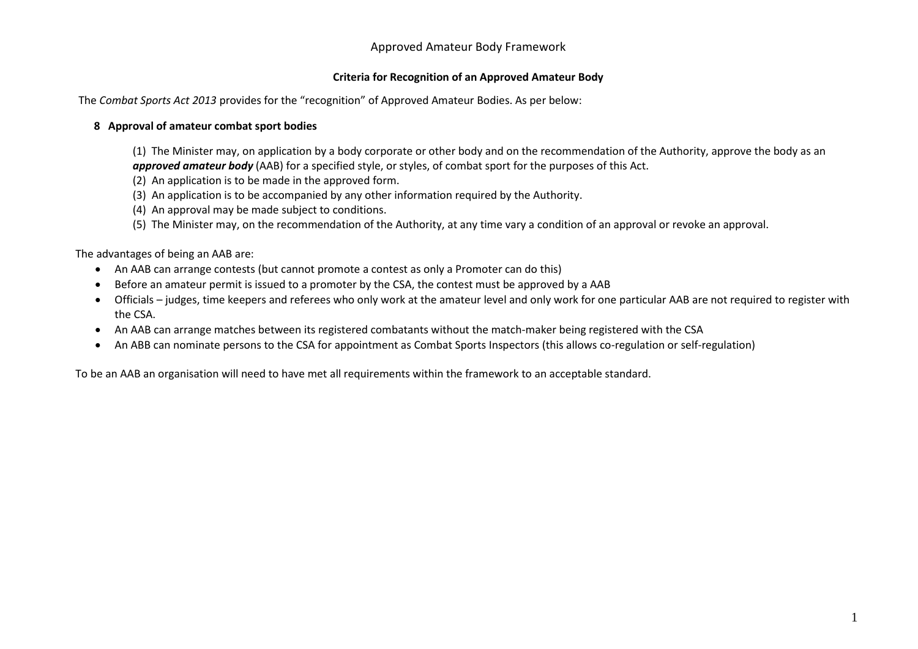## Approved Amateur Body Framework

## **Criteria for Recognition of an Approved Amateur Body**

The *Combat Sports Act 2013* provides for the "recognition" of Approved Amateur Bodies. As per below:

## **8 Approval of amateur combat sport bodies**

(1) The Minister may, on application by a body corporate or other body and on the recommendation of the Authority, approve the body as an *approved amateur body* (AAB) for a specified style, or styles, of combat sport for the purposes of this Act.

- (2) An application is to be made in the approved form.
- (3) An application is to be accompanied by any other information required by the Authority.
- (4) An approval may be made subject to conditions.
- (5) The Minister may, on the recommendation of the Authority, at any time vary a condition of an approval or revoke an approval.

The advantages of being an AAB are:

- An AAB can arrange contests (but cannot promote a contest as only a Promoter can do this)
- Before an amateur permit is issued to a promoter by the CSA, the contest must be approved by a AAB
- Officials judges, time keepers and referees who only work at the amateur level and only work for one particular AAB are not required to register with the CSA.
- An AAB can arrange matches between its registered combatants without the match-maker being registered with the CSA
- An ABB can nominate persons to the CSA for appointment as Combat Sports Inspectors (this allows co-regulation or self-regulation)

To be an AAB an organisation will need to have met all requirements within the framework to an acceptable standard.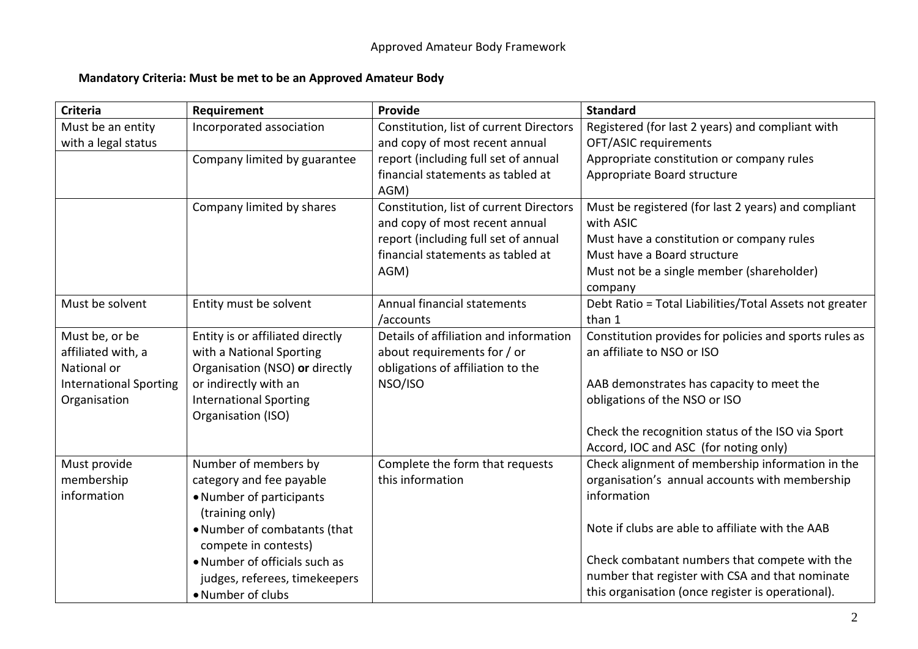## **Mandatory Criteria: Must be met to be an Approved Amateur Body**

| <b>Criteria</b>               | Requirement                      | Provide                                 | <b>Standard</b>                                         |
|-------------------------------|----------------------------------|-----------------------------------------|---------------------------------------------------------|
| Must be an entity             | Incorporated association         | Constitution, list of current Directors | Registered (for last 2 years) and compliant with        |
| with a legal status           |                                  | and copy of most recent annual          | OFT/ASIC requirements                                   |
|                               | Company limited by guarantee     | report (including full set of annual    | Appropriate constitution or company rules               |
|                               |                                  | financial statements as tabled at       | Appropriate Board structure                             |
|                               |                                  | AGM)                                    |                                                         |
|                               | Company limited by shares        | Constitution, list of current Directors | Must be registered (for last 2 years) and compliant     |
|                               |                                  | and copy of most recent annual          | with ASIC                                               |
|                               |                                  | report (including full set of annual    | Must have a constitution or company rules               |
|                               |                                  | financial statements as tabled at       | Must have a Board structure                             |
|                               |                                  | AGM)                                    | Must not be a single member (shareholder)               |
|                               |                                  |                                         | company                                                 |
| Must be solvent               | Entity must be solvent           | Annual financial statements             | Debt Ratio = Total Liabilities/Total Assets not greater |
|                               |                                  | /accounts                               | than 1                                                  |
| Must be, or be                | Entity is or affiliated directly | Details of affiliation and information  | Constitution provides for policies and sports rules as  |
| affiliated with, a            | with a National Sporting         | about requirements for / or             | an affiliate to NSO or ISO                              |
| National or                   | Organisation (NSO) or directly   | obligations of affiliation to the       |                                                         |
| <b>International Sporting</b> | or indirectly with an            | NSO/ISO                                 | AAB demonstrates has capacity to meet the               |
| Organisation                  | <b>International Sporting</b>    |                                         | obligations of the NSO or ISO                           |
|                               | Organisation (ISO)               |                                         |                                                         |
|                               |                                  |                                         | Check the recognition status of the ISO via Sport       |
|                               |                                  |                                         | Accord, IOC and ASC (for noting only)                   |
| Must provide                  | Number of members by             | Complete the form that requests         | Check alignment of membership information in the        |
| membership                    | category and fee payable         | this information                        | organisation's annual accounts with membership          |
| information                   | • Number of participants         |                                         | information                                             |
|                               | (training only)                  |                                         |                                                         |
|                               | . Number of combatants (that     |                                         | Note if clubs are able to affiliate with the AAB        |
|                               | compete in contests)             |                                         |                                                         |
|                               | • Number of officials such as    |                                         | Check combatant numbers that compete with the           |
|                               | judges, referees, timekeepers    |                                         | number that register with CSA and that nominate         |
|                               | • Number of clubs                |                                         | this organisation (once register is operational).       |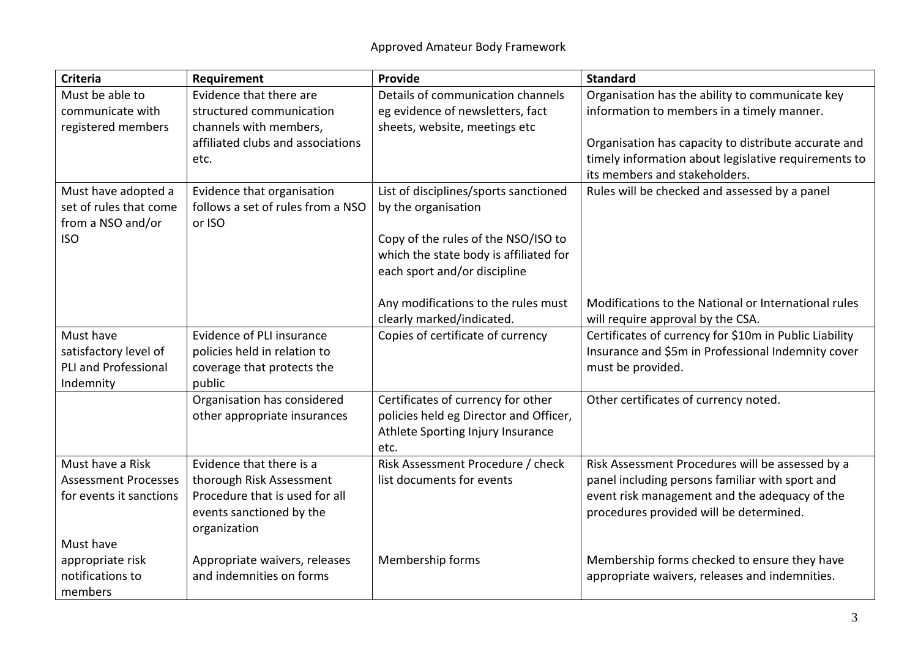| Criteria                    | Requirement                       | Provide                                | <b>Standard</b>                                        |
|-----------------------------|-----------------------------------|----------------------------------------|--------------------------------------------------------|
| Must be able to             | Evidence that there are           | Details of communication channels      | Organisation has the ability to communicate key        |
| communicate with            | structured communication          | eg evidence of newsletters, fact       | information to members in a timely manner.             |
| registered members          | channels with members,            | sheets, website, meetings etc          |                                                        |
|                             | affiliated clubs and associations |                                        | Organisation has capacity to distribute accurate and   |
|                             | etc.                              |                                        | timely information about legislative requirements to   |
|                             |                                   |                                        | its members and stakeholders.                          |
| Must have adopted a         | Evidence that organisation        | List of disciplines/sports sanctioned  | Rules will be checked and assessed by a panel          |
| set of rules that come      | follows a set of rules from a NSO | by the organisation                    |                                                        |
| from a NSO and/or           | or ISO                            |                                        |                                                        |
| <b>ISO</b>                  |                                   | Copy of the rules of the NSO/ISO to    |                                                        |
|                             |                                   | which the state body is affiliated for |                                                        |
|                             |                                   | each sport and/or discipline           |                                                        |
|                             |                                   |                                        |                                                        |
|                             |                                   | Any modifications to the rules must    | Modifications to the National or International rules   |
|                             |                                   | clearly marked/indicated.              | will require approval by the CSA.                      |
| Must have                   | Evidence of PLI insurance         | Copies of certificate of currency      | Certificates of currency for \$10m in Public Liability |
| satisfactory level of       | policies held in relation to      |                                        | Insurance and \$5m in Professional Indemnity cover     |
| <b>PLI and Professional</b> | coverage that protects the        |                                        | must be provided.                                      |
| Indemnity                   | public                            |                                        |                                                        |
|                             | Organisation has considered       | Certificates of currency for other     | Other certificates of currency noted.                  |
|                             | other appropriate insurances      | policies held eg Director and Officer, |                                                        |
|                             |                                   | Athlete Sporting Injury Insurance      |                                                        |
|                             |                                   | etc.                                   |                                                        |
| Must have a Risk            | Evidence that there is a          | Risk Assessment Procedure / check      | Risk Assessment Procedures will be assessed by a       |
| <b>Assessment Processes</b> | thorough Risk Assessment          | list documents for events              | panel including persons familiar with sport and        |
| for events it sanctions     | Procedure that is used for all    |                                        | event risk management and the adequacy of the          |
|                             | events sanctioned by the          |                                        | procedures provided will be determined.                |
|                             | organization                      |                                        |                                                        |
| Must have                   |                                   |                                        |                                                        |
| appropriate risk            | Appropriate waivers, releases     | Membership forms                       | Membership forms checked to ensure they have           |
| notifications to            | and indemnities on forms          |                                        | appropriate waivers, releases and indemnities.         |
| members                     |                                   |                                        |                                                        |